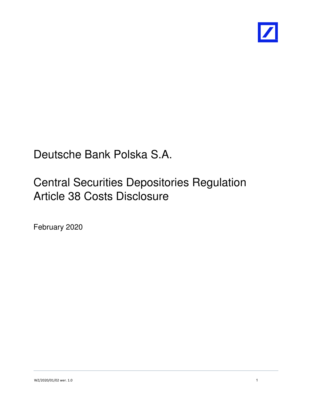

# Deutsche Bank Polska S.A.

# Central Securities Depositories Regulation Article 38 Costs Disclosure

February 2020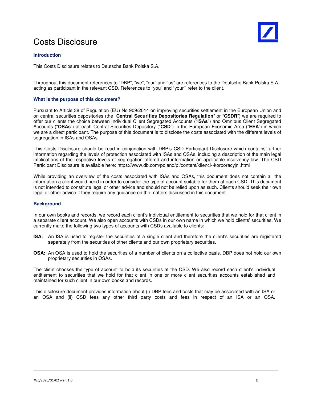### Costs Disclosure

#### **Introduction**

This Costs Disclosure relates to Deutsche Bank Polska S.A.

Throughout this document references to "DBP", "we", "our" and "us" are references to the Deutsche Bank Polska S.A., acting as participant in the relevant CSD. References to "you" and "your"' refer to the client.

#### **What is the purpose of this document?**

Pursuant to Article 38 of Regulation (EU) No 909/2014 on improving securities settlement in the European Union and on central securities depositories (the "**Central Securities Depositories Regulation**" or "**CSDR**") we are required to offer our clients the choice between Individual Client Segregated Accounts ("**ISAs**") and Omnibus Client Segregated Accounts ("**OSAs**") at each Central Securities Depository ("**CSD**") in the European Economic Area ("**EEA**") in which we are a direct participant. The purpose of this document is to disclose the costs associated with the different levels of segregation in ISAs and OSAs.

This Costs Disclosure should be read in conjunction with DBP's CSD Participant Disclosure which contains further information regarding the levels of protection associated with ISAs and OSAs, including a description of the main legal implications of the respective levels of segregation offered and information on applicable insolvency law. The CSD Participant Disclosure is available here: https://www.db.com/poland/pl/content/klienci--korporacyjni.html

While providing an overview of the costs associated with ISAs and OSAs, this document does not contain all the information a client would need in order to consider the type of account suitable for them at each CSD. This document is not intended to constitute legal or other advice and should not be relied upon as such. Clients should seek their own legal or other advice if they require any guidance on the matters discussed in this document.

#### **Background**

In our own books and records, we record each client's individual entitlement to securities that we hold for that client in a separate client account. We also open accounts with CSDs in our own name in which we hold clients' securities. We currently make the following two types of accounts with CSDs available to clients:

- **ISA:** An **I**SA is used to register the securities of a single client and therefore the client's securities are registered separately from the securities of other clients and our own proprietary securities.
- **OSA:** An OSA is used to hold the securities of a number of clients on a collective basis. DBP does not hold our own proprietary securities in OSAs.

The client chooses the type of account to hold its securities at the CSD. We also record each client's individual entitlement to securities that we hold for that client in one or more client securities accounts established and maintained for such client in our own books and records.

This disclosure document provides information about (i) DBP fees and costs that may be associated with an ISA or an OSA and (ii) CSD fees any other third party costs and fees in respect of an ISA or an OSA.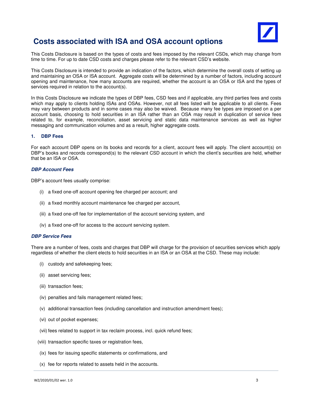

### **Costs associated with ISA and OSA account options**

This Costs Disclosure is based on the types of costs and fees imposed by the relevant CSDs, which may change from time to time. For up to date CSD costs and charges please refer to the relevant CSD's website.

This Costs Disclosure is intended to provide an indication of the factors, which determine the overall costs of setting up and maintaining an OSA or ISA account. Aggregate costs will be determined by a number of factors, including account opening and maintenance, how many accounts are required, whether the account is an OSA or ISA and the types of services required in relation to the account(s).

In this Costs Disclosure we indicate the types of DBP fees, CSD fees and if applicable, any third parties fees and costs which may apply to clients holding ISAs and OSAs. However, not all fees listed will be applicable to all clients. Fees may vary between products and in some cases may also be waived. Because many fee types are imposed on a per account basis, choosing to hold securities in an ISA rather than an OSA may result in duplication of service fees related to, for example, reconciliation, asset servicing and static data maintenance services as well as higher messaging and communication volumes and as a result, higher aggregate costs.

#### **1. DBP Fees**

For each account DBP opens on its books and records for a client, account fees will apply. The client account(s) on DBP's books and records correspond(s) to the relevant CSD account in which the client's securities are held, whether that be an ISA or OSA.

#### **DBP Account Fees**

DBP's account fees usually comprise:

- (i) a fixed one-off account opening fee charged per account; and
- (ii) a fixed monthly account maintenance fee charged per account,
- (iii) a fixed one-off fee for implementation of the account servicing system, and
- (iv) a fixed one-off for access to the account servicing system.

#### **DBP Service Fees**

There are a number of fees, costs and charges that DBP will charge for the provision of securities services which apply regardless of whether the client elects to hold securities in an ISA or an OSA at the CSD. These may include:

- (i) custody and safekeeping fees;
- (ii) asset servicing fees;
- (iii) transaction fees;
- (iv) penalties and fails management related fees;
- (v) additional transaction fees (including cancellation and instruction amendment fees);
- (vi) out of pocket expenses;
- (vii) fees related to support in tax reclaim process, incl. quick refund fees;
- (viii) transaction specific taxes or registration fees,
- (ix) fees for issuing specific statements or confirmations, and
- (x) fee for reports related to assets held in the accounts.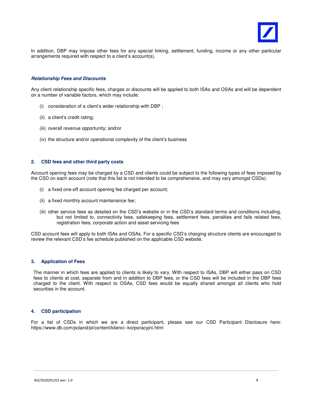

In addition, DBP may impose other fees for any special linking, settlement, funding, income or any other particular arrangements required with respect to a client's account(s).

#### **Relationship Fees and Discounts**

Any client relationship specific fees, charges or discounts will be applied to both ISAs and OSAs and will be dependent on a number of variable factors, which may include:

- (i) consideration of a client's wider relationship with DBP ;
- (ii) a client's credit rating;
- (iii) overall revenue opportunity; and/or
- (iv) the structure and/or operational complexity of the client's business

#### **2. CSD fees and other third party costs**

Account opening fees may be charged by a CSD and clients could be subject to the following types of fees imposed by the CSD on each account (note that this list is not intended to be comprehensive, and may vary amongst CSDs):

- (i) a fixed one-off account opening fee charged per account;
- (ii) a fixed monthly account maintenance fee;
- (iii) other service fees as detailed on the CSD's website or in the CSD's standard terms and conditions including, but not limited to, connectivity fees, safekeeping fees, settlement fees, penalties and fails related fees, registration fees, corporate action and asset servicing fees

CSD account fees will apply to both ISAs and OSAs. For a specific CSD's charging structure clients are encouraged to review the relevant CSD's fee schedule published on the applicable CSD website.

#### **3. Application of Fees**

The manner in which fees are applied to clients is likely to vary. With respect to ISAs, DBP will either pass on CSD fees to clients at cost, separate from and in addition to DBP fees, or the CSD fees will be included in the DBP fees charged to the client. With respect to OSAs, CSD fees would be equally shared amongst all clients who hold securities in the account.

#### **4. CSD participation**

For a list of CSDs in which we are a direct participant, please see our CSD Participant Disclosure here: https://www.db.com/poland/pl/content/klienci--korporacyjni.html